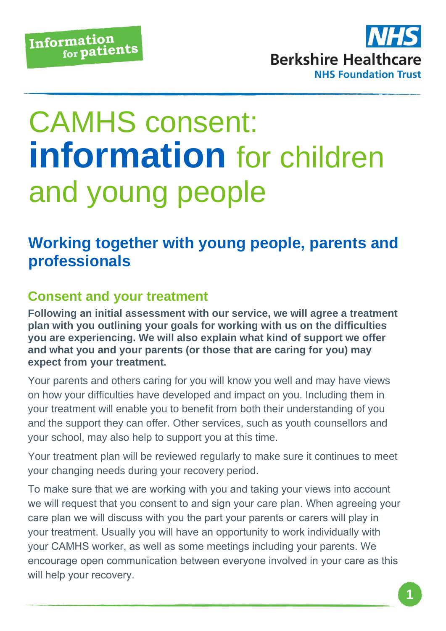

# CAMHS consent: **information** for children and young people

## **Working together with young people, parents and professionals**

#### **Consent and your treatment**

**Following an initial assessment with our service, we will agree a treatment plan with you outlining your goals for working with us on the difficulties you are experiencing. We will also explain what kind of support we offer and what you and your parents (or those that are caring for you) may expect from your treatment.** 

Your parents and others caring for you will know you well and may have views on how your difficulties have developed and impact on you. Including them in your treatment will enable you to benefit from both their understanding of you and the support they can offer. Other services, such as youth counsellors and your school, may also help to support you at this time.

Your treatment plan will be reviewed regularly to make sure it continues to meet your changing needs during your recovery period.

To make sure that we are working with you and taking your views into account we will request that you consent to and sign your care plan. When agreeing your care plan we will discuss with you the part your parents or carers will play in your treatment. Usually you will have an opportunity to work individually with your CAMHS worker, as well as some meetings including your parents. We encourage open communication between everyone involved in your care as this will help your recovery.